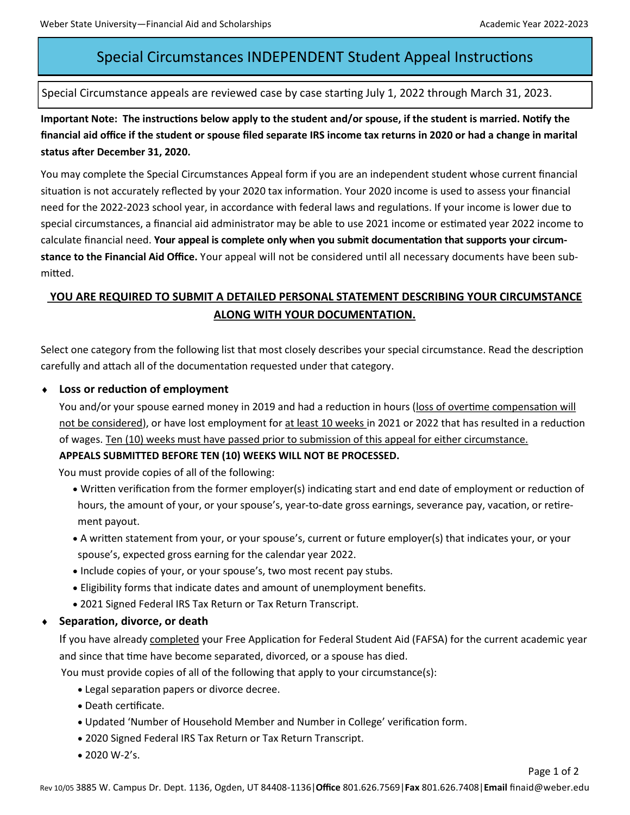# Special Circumstances INDEPENDENT Student Appeal Instructions

Special Circumstance appeals are reviewed case by case starting July 1, 2022 through March 31, 2023.

**Important Note: The instructions below apply to the student and/or spouse, if the student is married. Notify the financial aid office if the student or spouse filed separate IRS income tax returns in 2020 or had a change in marital status after December 31, 2020.**

You may complete the Special Circumstances Appeal form if you are an independent student whose current financial situation is not accurately reflected by your 2020 tax information. Your 2020 income is used to assess your financial need for the 2022-2023 school year, in accordance with federal laws and regulations. If your income is lower due to special circumstances, a financial aid administrator may be able to use 2021 income or estimated year 2022 income to calculate financial need. **Your appeal is complete only when you submit documentation that supports your circumstance to the Financial Aid Office.** Your appeal will not be considered until all necessary documents have been submitted.

## **YOU ARE REQUIRED TO SUBMIT A DETAILED PERSONAL STATEMENT DESCRIBING YOUR CIRCUMSTANCE ALONG WITH YOUR DOCUMENTATION.**

Select one category from the following list that most closely describes your special circumstance. Read the description carefully and attach all of the documentation requested under that category.

#### **Loss or reduction of employment**

You and/or your spouse earned money in 2019 and had a reduction in hours (loss of overtime compensation will not be considered), or have lost employment for at least 10 weeks in 2021 or 2022 that has resulted in a reduction of wages. Ten (10) weeks must have passed prior to submission of this appeal for either circumstance.

#### **APPEALS SUBMITTED BEFORE TEN (10) WEEKS WILL NOT BE PROCESSED.**

You must provide copies of all of the following:

- Written verification from the former employer(s) indicating start and end date of employment or reduction of hours, the amount of your, or your spouse's, year-to-date gross earnings, severance pay, vacation, or retirement payout.
- A written statement from your, or your spouse's, current or future employer(s) that indicates your, or your spouse's, expected gross earning for the calendar year 2022.
- Include copies of your, or your spouse's, two most recent pay stubs.
- Eligibility forms that indicate dates and amount of unemployment benefits.
- 2021 Signed Federal IRS Tax Return or Tax Return Transcript.
- **Separation, divorce, or death**

If you have already completed your Free Application for Federal Student Aid (FAFSA) for the current academic year and since that time have become separated, divorced, or a spouse has died.

You must provide copies of all of the following that apply to your circumstance(s):

- Legal separation papers or divorce decree.
- Death certificate.
- Updated 'Number of Household Member and Number in College' verification form.
- 2020 Signed Federal IRS Tax Return or Tax Return Transcript.
- $\bullet$  2020 W-2's.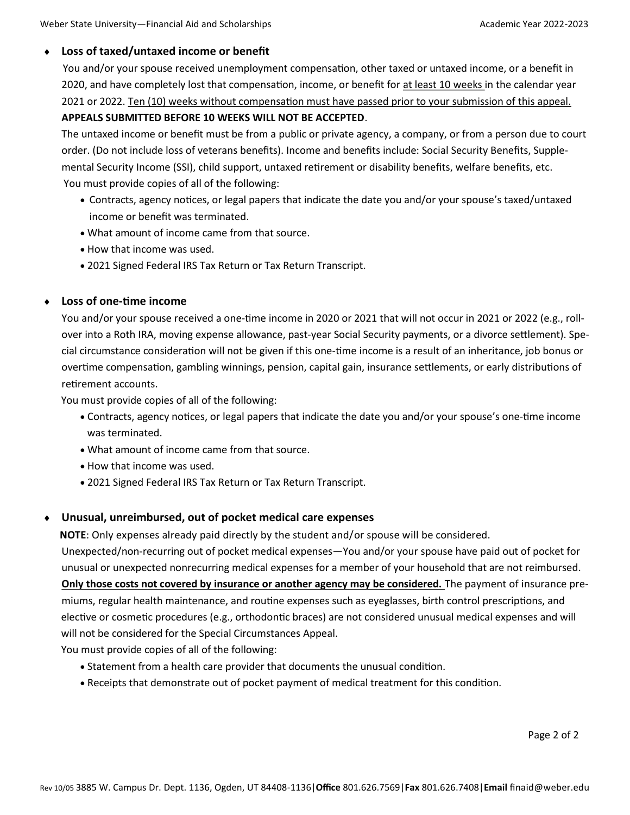#### **Loss of taxed/untaxed income or benefit**

You and/or your spouse received unemployment compensation, other taxed or untaxed income, or a benefit in 2020, and have completely lost that compensation, income, or benefit for at least 10 weeks in the calendar year 2021 or 2022. Ten (10) weeks without compensation must have passed prior to your submission of this appeal.

#### **APPEALS SUBMITTED BEFORE 10 WEEKS WILL NOT BE ACCEPTED**.

The untaxed income or benefit must be from a public or private agency, a company, or from a person due to court order. (Do not include loss of veterans benefits). Income and benefits include: Social Security Benefits, Supplemental Security Income (SSI), child support, untaxed retirement or disability benefits, welfare benefits, etc. You must provide copies of all of the following:

- Contracts, agency notices, or legal papers that indicate the date you and/or your spouse's taxed/untaxed income or benefit was terminated.
- What amount of income came from that source.
- How that income was used.
- 2021 Signed Federal IRS Tax Return or Tax Return Transcript.

#### **Loss of one-time income**

You and/or your spouse received a one-time income in 2020 or 2021 that will not occur in 2021 or 2022 (e.g., rollover into a Roth IRA, moving expense allowance, past-year Social Security payments, or a divorce settlement). Special circumstance consideration will not be given if this one-time income is a result of an inheritance, job bonus or overtime compensation, gambling winnings, pension, capital gain, insurance settlements, or early distributions of retirement accounts.

You must provide copies of all of the following:

- Contracts, agency notices, or legal papers that indicate the date you and/or your spouse's one-time income was terminated.
- What amount of income came from that source.
- How that income was used.
- 2021 Signed Federal IRS Tax Return or Tax Return Transcript.

#### **Unusual, unreimbursed, out of pocket medical care expenses**

 **NOTE**: Only expenses already paid directly by the student and/or spouse will be considered. Unexpected/non-recurring out of pocket medical expenses—You and/or your spouse have paid out of pocket for unusual or unexpected nonrecurring medical expenses for a member of your household that are not reimbursed. **Only those costs not covered by insurance or another agency may be considered.** The payment of insurance premiums, regular health maintenance, and routine expenses such as eyeglasses, birth control prescriptions, and elective or cosmetic procedures (e.g., orthodontic braces) are not considered unusual medical expenses and will will not be considered for the Special Circumstances Appeal.

You must provide copies of all of the following:

- Statement from a health care provider that documents the unusual condition.
- Receipts that demonstrate out of pocket payment of medical treatment for this condition.